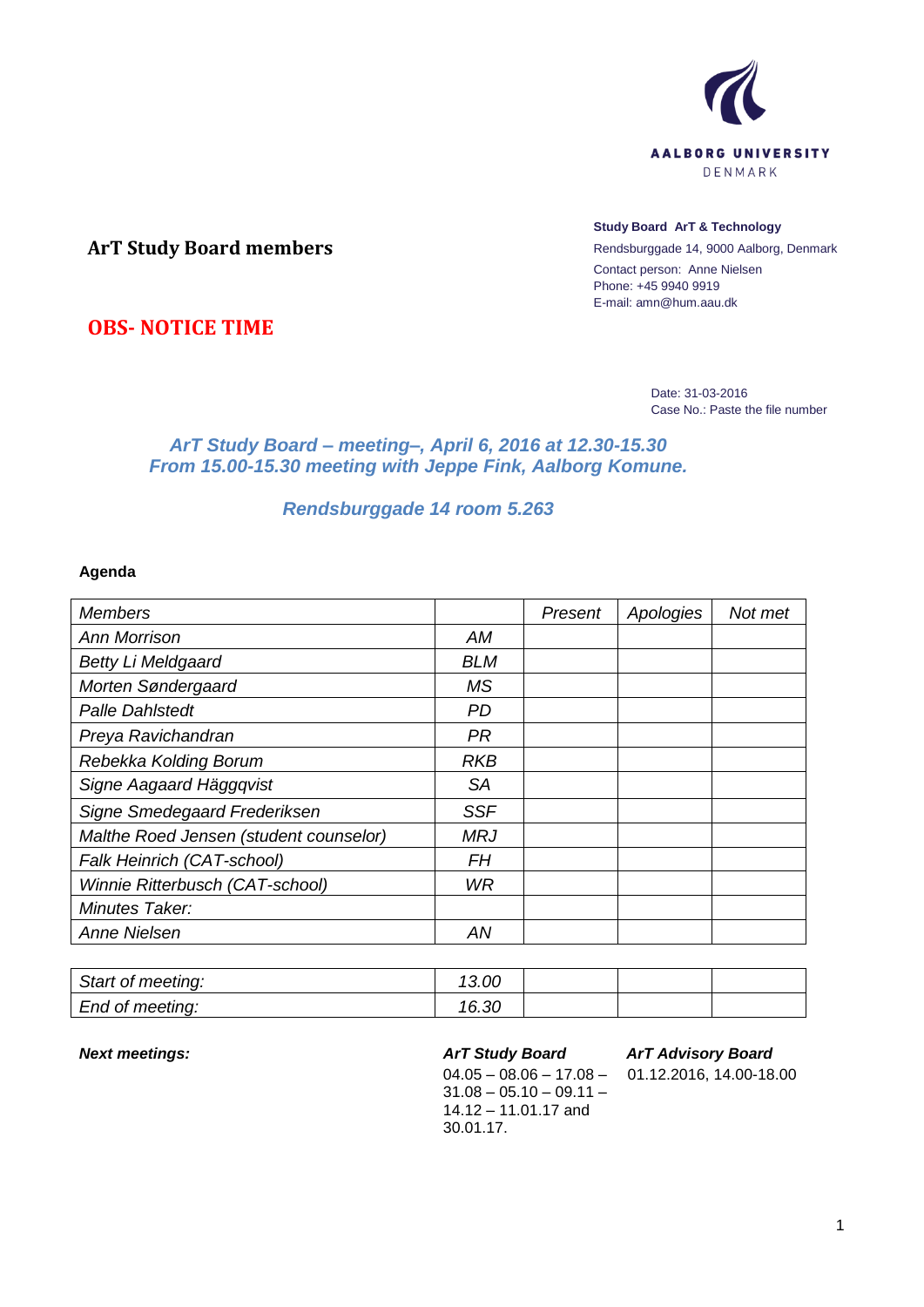

# **ArT Study Board members**

#### **Study Board ArT & Technology**

Rendsburggade 14, 9000 Aalborg, Denmark Contact person: Anne Nielsen Phone: +45 9940 9919 E-mail: amn@hum.aau.dk

**OBS- NOTICE TIME**

Date: 31-03-2016 Case No.: Paste the file number

## *ArT Study Board – meeting–, April 6, 2016 at 12.30-15.30 From 15.00-15.30 meeting with Jeppe Fink, Aalborg Komune.*

# *Rendsburggade 14 room 5.263*

### **Agenda**

| <b>Members</b>                         |            | Present | Apologies | Not met |
|----------------------------------------|------------|---------|-----------|---------|
| <b>Ann Morrison</b>                    | <b>AM</b>  |         |           |         |
| <b>Betty Li Meldgaard</b>              | <b>BLM</b> |         |           |         |
| Morten Søndergaard                     | <b>MS</b>  |         |           |         |
| <b>Palle Dahlstedt</b>                 | <b>PD</b>  |         |           |         |
| Preya Ravichandran                     | <b>PR</b>  |         |           |         |
| Rebekka Kolding Borum                  | <b>RKB</b> |         |           |         |
| Signe Aagaard Häggqvist                | SA         |         |           |         |
| Signe Smedegaard Frederiksen           | <b>SSF</b> |         |           |         |
| Malthe Roed Jensen (student counselor) | <b>MRJ</b> |         |           |         |
| Falk Heinrich (CAT-school)             | <b>FH</b>  |         |           |         |
| Winnie Ritterbusch (CAT-school)        | <b>WR</b>  |         |           |         |
| Minutes Taker:                         |            |         |           |         |
| <b>Anne Nielsen</b>                    | AN         |         |           |         |

| Start of meeting: | 13.00 |  |  |
|-------------------|-------|--|--|
| End of meeting:   | 16.30 |  |  |

#### *Next meetings: ArT Study Board*

 $04.05 - 08.06 - 17.08 31.08 - 05.10 - 09.11 -$ 14.12 – 11.01.17 and 30.01.17.

## *ArT Advisory Board*

01.12.2016, 14.00-18.00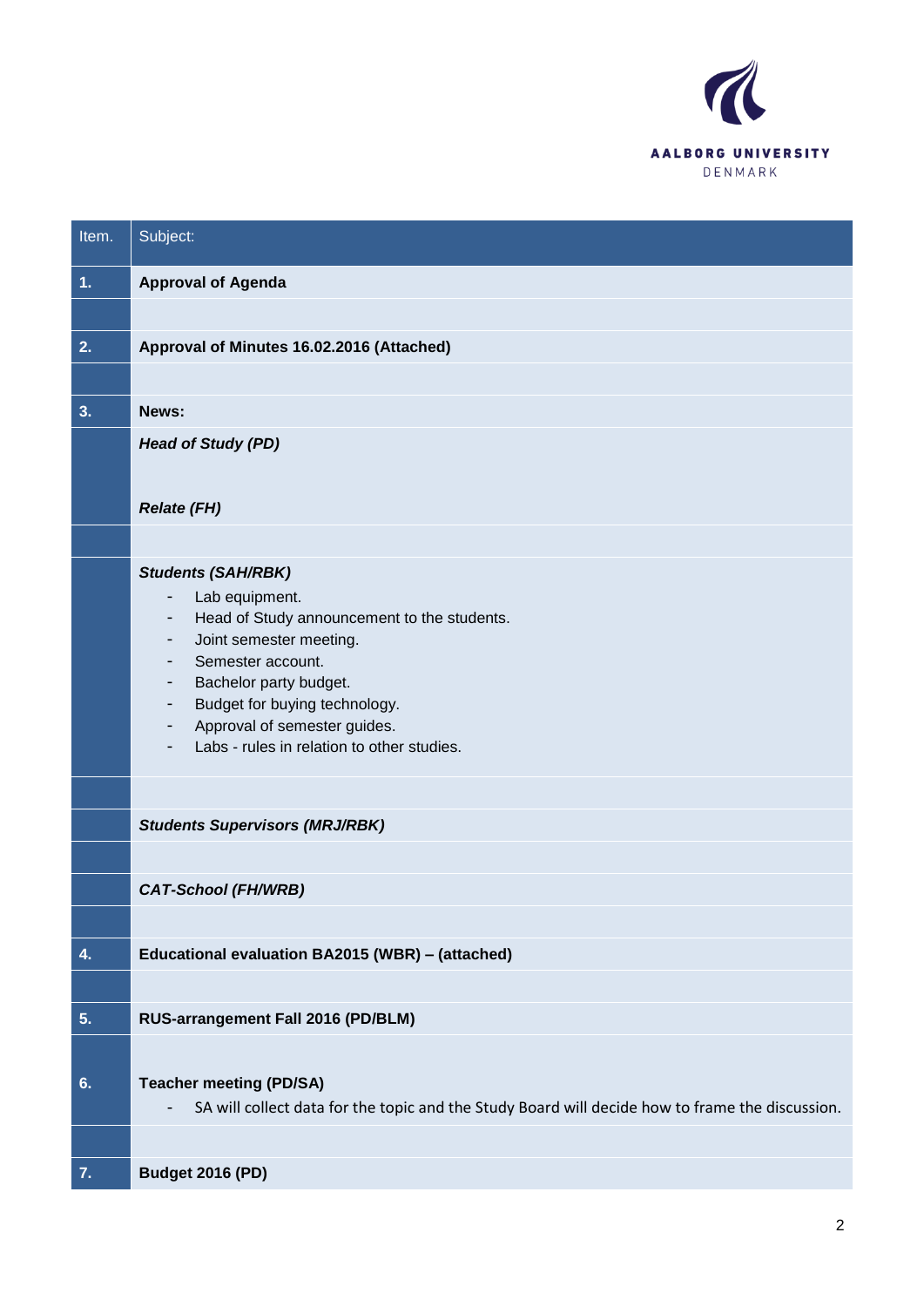

| Item. | Subject:                                                                                                                                                                                                                                                                                                                                                                 |
|-------|--------------------------------------------------------------------------------------------------------------------------------------------------------------------------------------------------------------------------------------------------------------------------------------------------------------------------------------------------------------------------|
| 1.    | <b>Approval of Agenda</b>                                                                                                                                                                                                                                                                                                                                                |
| 2.    | Approval of Minutes 16.02.2016 (Attached)                                                                                                                                                                                                                                                                                                                                |
|       |                                                                                                                                                                                                                                                                                                                                                                          |
| 3.    | News:                                                                                                                                                                                                                                                                                                                                                                    |
|       | <b>Head of Study (PD)</b>                                                                                                                                                                                                                                                                                                                                                |
|       |                                                                                                                                                                                                                                                                                                                                                                          |
|       | <b>Relate (FH)</b>                                                                                                                                                                                                                                                                                                                                                       |
|       |                                                                                                                                                                                                                                                                                                                                                                          |
|       | <b>Students (SAH/RBK)</b><br>Lab equipment.<br>$\qquad \qquad \blacksquare$<br>Head of Study announcement to the students.<br>$\overline{\phantom{a}}$<br>Joint semester meeting.<br>$\overline{\phantom{a}}$<br>Semester account.<br>٠<br>Bachelor party budget.<br>٠<br>Budget for buying technology.<br>$\overline{\phantom{a}}$<br>Approval of semester guides.<br>- |
|       | Labs - rules in relation to other studies.                                                                                                                                                                                                                                                                                                                               |
|       | <b>Students Supervisors (MRJ/RBK)</b>                                                                                                                                                                                                                                                                                                                                    |
|       |                                                                                                                                                                                                                                                                                                                                                                          |
|       | <b>CAT-School (FH/WRB)</b>                                                                                                                                                                                                                                                                                                                                               |
|       |                                                                                                                                                                                                                                                                                                                                                                          |
| 4.    | Educational evaluation BA2015 (WBR) - (attached)                                                                                                                                                                                                                                                                                                                         |
|       |                                                                                                                                                                                                                                                                                                                                                                          |
| 5.    | RUS-arrangement Fall 2016 (PD/BLM)                                                                                                                                                                                                                                                                                                                                       |
|       |                                                                                                                                                                                                                                                                                                                                                                          |
| 6.    | <b>Teacher meeting (PD/SA)</b><br>SA will collect data for the topic and the Study Board will decide how to frame the discussion.<br>$\overline{\phantom{a}}$                                                                                                                                                                                                            |
|       |                                                                                                                                                                                                                                                                                                                                                                          |
| 7.    | <b>Budget 2016 (PD)</b>                                                                                                                                                                                                                                                                                                                                                  |